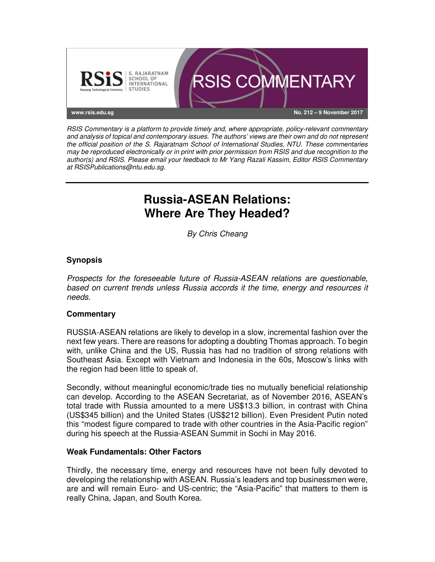

RSIS Commentary is a platform to provide timely and, where appropriate, policy-relevant commentary and analysis of topical and contemporary issues. The authors' views are their own and do not represent the official position of the S. Rajaratnam School of International Studies, NTU. These commentaries may be reproduced electronically or in print with prior permission from RSIS and due recognition to the author(s) and RSIS. Please email your feedback to Mr Yang Razali Kassim, Editor RSIS Commentary at RSISPublications@ntu.edu.sg.

# **Russia-ASEAN Relations: Where Are They Headed?**

By Chris Cheang

## **Synopsis**

Prospects for the foreseeable future of Russia-ASEAN relations are questionable, based on current trends unless Russia accords it the time, energy and resources it needs.

## **Commentary**

RUSSIA-ASEAN relations are likely to develop in a slow, incremental fashion over the next few years. There are reasons for adopting a doubting Thomas approach. To begin with, unlike China and the US, Russia has had no tradition of strong relations with Southeast Asia. Except with Vietnam and Indonesia in the 60s, Moscow's links with the region had been little to speak of.

Secondly, without meaningful economic/trade ties no mutually beneficial relationship can develop. According to the ASEAN Secretariat, as of November 2016, ASEAN's total trade with Russia amounted to a mere US\$13.3 billion, in contrast with China (US\$345 billion) and the United States (US\$212 billion). Even President Putin noted this "modest figure compared to trade with other countries in the Asia-Pacific region" during his speech at the Russia-ASEAN Summit in Sochi in May 2016.

## **Weak Fundamentals: Other Factors**

Thirdly, the necessary time, energy and resources have not been fully devoted to developing the relationship with ASEAN. Russia's leaders and top businessmen were, are and will remain Euro- and US-centric; the "Asia-Pacific" that matters to them is really China, Japan, and South Korea.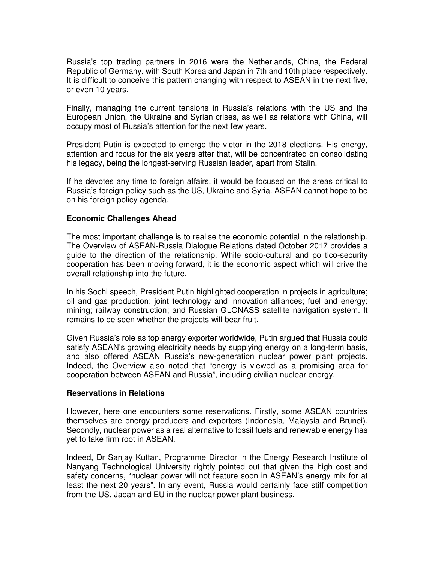Russia's top trading partners in 2016 were the Netherlands, China, the Federal Republic of Germany, with South Korea and Japan in 7th and 10th place respectively. It is difficult to conceive this pattern changing with respect to ASEAN in the next five, or even 10 years.

Finally, managing the current tensions in Russia's relations with the US and the European Union, the Ukraine and Syrian crises, as well as relations with China, will occupy most of Russia's attention for the next few years.

President Putin is expected to emerge the victor in the 2018 elections. His energy, attention and focus for the six years after that, will be concentrated on consolidating his legacy, being the longest-serving Russian leader, apart from Stalin.

If he devotes any time to foreign affairs, it would be focused on the areas critical to Russia's foreign policy such as the US, Ukraine and Syria. ASEAN cannot hope to be on his foreign policy agenda.

#### **Economic Challenges Ahead**

The most important challenge is to realise the economic potential in the relationship. The Overview of ASEAN-Russia Dialogue Relations dated October 2017 provides a guide to the direction of the relationship. While socio-cultural and politico-security cooperation has been moving forward, it is the economic aspect which will drive the overall relationship into the future.

In his Sochi speech, President Putin highlighted cooperation in projects in agriculture; oil and gas production; joint technology and innovation alliances; fuel and energy; mining; railway construction; and Russian GLONASS satellite navigation system. It remains to be seen whether the projects will bear fruit.

Given Russia's role as top energy exporter worldwide, Putin argued that Russia could satisfy ASEAN's growing electricity needs by supplying energy on a long-term basis, and also offered ASEAN Russia's new-generation nuclear power plant projects. Indeed, the Overview also noted that "energy is viewed as a promising area for cooperation between ASEAN and Russia", including civilian nuclear energy.

#### **Reservations in Relations**

However, here one encounters some reservations. Firstly, some ASEAN countries themselves are energy producers and exporters (Indonesia, Malaysia and Brunei). Secondly, nuclear power as a real alternative to fossil fuels and renewable energy has yet to take firm root in ASEAN.

Indeed, Dr Sanjay Kuttan, Programme Director in the Energy Research Institute of Nanyang Technological University rightly pointed out that given the high cost and safety concerns, "nuclear power will not feature soon in ASEAN's energy mix for at least the next 20 years". In any event, Russia would certainly face stiff competition from the US, Japan and EU in the nuclear power plant business.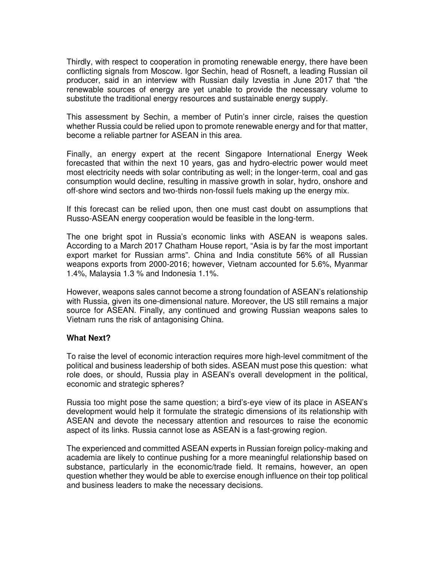Thirdly, with respect to cooperation in promoting renewable energy, there have been conflicting signals from Moscow. Igor Sechin, head of Rosneft, a leading Russian oil producer, said in an interview with Russian daily Izvestia in June 2017 that "the renewable sources of energy are yet unable to provide the necessary volume to substitute the traditional energy resources and sustainable energy supply.

This assessment by Sechin, a member of Putin's inner circle, raises the question whether Russia could be relied upon to promote renewable energy and for that matter, become a reliable partner for ASEAN in this area.

Finally, an energy expert at the recent Singapore International Energy Week forecasted that within the next 10 years, gas and hydro-electric power would meet most electricity needs with solar contributing as well; in the longer-term, coal and gas consumption would decline, resulting in massive growth in solar, hydro, onshore and off-shore wind sectors and two-thirds non-fossil fuels making up the energy mix.

If this forecast can be relied upon, then one must cast doubt on assumptions that Russo-ASEAN energy cooperation would be feasible in the long-term.

The one bright spot in Russia's economic links with ASEAN is weapons sales. According to a March 2017 Chatham House report, "Asia is by far the most important export market for Russian arms". China and India constitute 56% of all Russian weapons exports from 2000-2016; however, Vietnam accounted for 5.6%, Myanmar 1.4%, Malaysia 1.3 % and Indonesia 1.1%.

However, weapons sales cannot become a strong foundation of ASEAN's relationship with Russia, given its one-dimensional nature. Moreover, the US still remains a major source for ASEAN. Finally, any continued and growing Russian weapons sales to Vietnam runs the risk of antagonising China.

## **What Next?**

To raise the level of economic interaction requires more high-level commitment of the political and business leadership of both sides. ASEAN must pose this question: what role does, or should, Russia play in ASEAN's overall development in the political, economic and strategic spheres?

Russia too might pose the same question; a bird's-eye view of its place in ASEAN's development would help it formulate the strategic dimensions of its relationship with ASEAN and devote the necessary attention and resources to raise the economic aspect of its links. Russia cannot lose as ASEAN is a fast-growing region.

The experienced and committed ASEAN experts in Russian foreign policy-making and academia are likely to continue pushing for a more meaningful relationship based on substance, particularly in the economic/trade field. It remains, however, an open question whether they would be able to exercise enough influence on their top political and business leaders to make the necessary decisions.